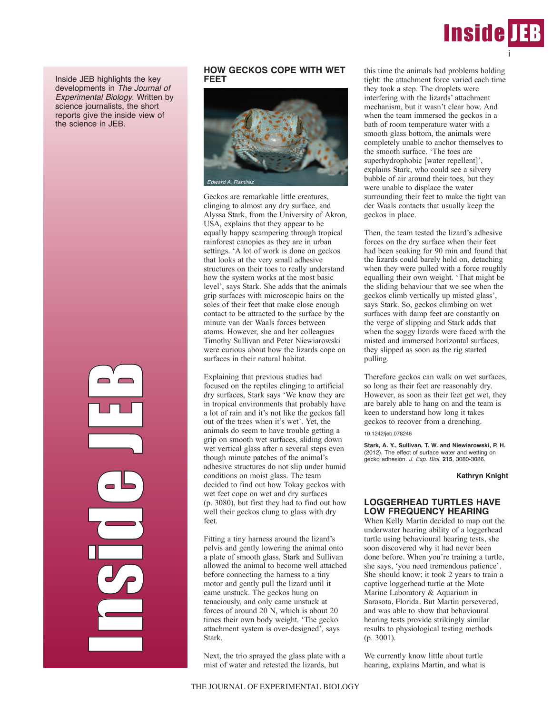

Inside JEB highlights the key developments in *The Journal of Experimental Biology*. Written by science journalists, the short reports give the inside view of the science in JEB.

> **Industrial n**  $\mathcal{C}_{\mathcal{P}}$ in 1999 and 1999 d<br>J e J EP)

## **HOW GECKOS COPE WITH WET FEET**



Geckos are remarkable little creatures, clinging to almost any dry surface, and Alyssa Stark, from the University of Akron, USA, explains that they appear to be equally happy scampering through tropical rainforest canopies as they are in urban settings. 'A lot of work is done on geckos that looks at the very small adhesive structures on their toes to really understand how the system works at the most basic level', says Stark. She adds that the animals grip surfaces with microscopic hairs on the soles of their feet that make close enough contact to be attracted to the surface by the minute van der Waals forces between atoms. However, she and her colleagues Timothy Sullivan and Peter Niewiarowski were curious about how the lizards cope on surfaces in their natural habitat.

Explaining that previous studies had focused on the reptiles clinging to artificial dry surfaces, Stark says 'We know they are in tropical environments that probably have a lot of rain and it's not like the geckos fall out of the trees when it's wet'. Yet, the animals do seem to have trouble getting a grip on smooth wet surfaces, sliding down wet vertical glass after a several steps even though minute patches of the animal's adhesive structures do not slip under humid conditions on moist glass. The team decided to find out how Tokay geckos with wet feet cope on wet and dry surfaces (p. 3080), but first they had to find out how well their geckos clung to glass with dry feet.

Fitting a tiny harness around the lizard's pelvis and gently lowering the animal onto a plate of smooth glass, Stark and Sullivan allowed the animal to become well attached before connecting the harness to a tiny motor and gently pull the lizard until it came unstuck. The geckos hung on tenaciously, and only came unstuck at forces of around 20 N, which is about 20 times their own body weight. 'The gecko attachment system is over-designed', says Stark.

Next, the trio sprayed the glass plate with a mist of water and retested the lizards, but

this time the animals had problems holding tight: the attachment force varied each time they took a step. The droplets were interfering with the lizards' attachment mechanism, but it wasn't clear how. And when the team immersed the geckos in a bath of room temperature water with a smooth glass bottom, the animals were completely unable to anchor themselves to the smooth surface. 'The toes are superhydrophobic [water repellent]', explains Stark, who could see a silvery bubble of air around their toes, but they were unable to displace the water surrounding their feet to make the tight van der Waals contacts that usually keep the geckos in place.

Then, the team tested the lizard's adhesive forces on the dry surface when their feet had been soaking for 90 min and found that the lizards could barely hold on, detaching when they were pulled with a force roughly equalling their own weight. 'That might be the sliding behaviour that we see when the geckos climb vertically up misted glass', says Stark. So, geckos climbing on wet surfaces with damp feet are constantly on the verge of slipping and Stark adds that when the soggy lizards were faced with the misted and immersed horizontal surfaces, they slipped as soon as the rig started pulling.

Therefore geckos can walk on wet surfaces, so long as their feet are reasonably dry. However, as soon as their feet get wet, they are barely able to hang on and the team is keen to understand how long it takes geckos to recover from a drenching.

10.1242/jeb.078246

**Stark, A. Y., Sullivan, T. W. and Niewiarowski, P. H.** (2012). The effect of surface water and wetting on gecko adhesion. *J. Exp. Biol.* **215**, 3080-3086.

**Kathryn Knight**

### **LOGGERHEAD TURTLES HAVE LOW FREQUENCY HEARING**

When Kelly Martin decided to map out the underwater hearing ability of a loggerhead turtle using behavioural hearing tests, she soon discovered why it had never been done before. When you're training a turtle, she says, 'you need tremendous patience'. She should know; it took 2 years to train a captive loggerhead turtle at the Mote Marine Laboratory & Aquarium in Sarasota, Florida. But Martin persevered, and was able to show that behavioural hearing tests provide strikingly similar results to physiological testing methods (p. 3001).

We currently know little about turtle hearing, explains Martin, and what is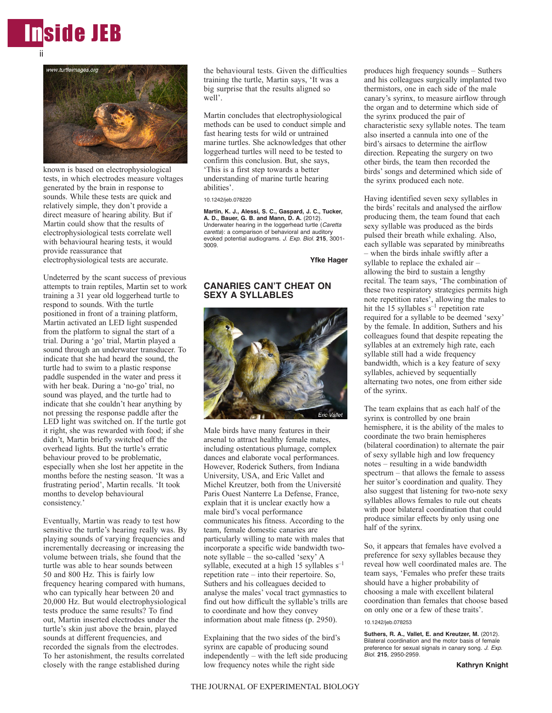



known is based on electrophysiological tests, in which electrodes measure voltages generated by the brain in response to sounds. While these tests are quick and relatively simple, they don't provide a direct measure of hearing ability. But if Martin could show that the results of electrophysiological tests correlate well with behavioural hearing tests, it would provide reassurance that

electrophysiological tests are accurate.

Undeterred by the scant success of previous attempts to train reptiles, Martin set to work training a 31 year old loggerhead turtle to respond to sounds. With the turtle positioned in front of a training platform, Martin activated an LED light suspended from the platform to signal the start of a trial. During a 'go' trial, Martin played a sound through an underwater transducer. To indicate that she had heard the sound, the turtle had to swim to a plastic response paddle suspended in the water and press it with her beak. During a 'no-go' trial, no sound was played, and the turtle had to indicate that she couldn't hear anything by not pressing the response paddle after the LED light was switched on. If the turtle got it right, she was rewarded with food; if she didn't, Martin briefly switched off the overhead lights. But the turtle's erratic behaviour proved to be problematic, especially when she lost her appetite in the months before the nesting season. 'It was a frustrating period', Martin recalls. 'It took months to develop behavioural consistency.'

Eventually, Martin was ready to test how sensitive the turtle's hearing really was. By playing sounds of varying frequencies and incrementally decreasing or increasing the volume between trials, she found that the turtle was able to hear sounds between 50 and 800 Hz. This is fairly low frequency hearing compared with humans, who can typically hear between 20 and 20,000 Hz. But would electrophysiological tests produce the same results? To find out, Martin inserted electrodes under the turtle's skin just above the brain, played sounds at different frequencies, and recorded the signals from the electrodes. To her astonishment, the results correlated closely with the range established during

the behavioural tests. Given the difficulties training the turtle, Martin says, 'It was a big surprise that the results aligned so well'.

Martin concludes that electrophysiological methods can be used to conduct simple and fast hearing tests for wild or untrained marine turtles. She acknowledges that other loggerhead turtles will need to be tested to confirm this conclusion. But, she says, 'This is a first step towards a better understanding of marine turtle hearing abilities'.

10.1242/jeb.078220

**Martin, K. J., Alessi, S. C., Gaspard, J. C., Tucker, A. D., Bauer, G. B. and Mann, D. A.** (2012). Underwater hearing in the loggerhead turtle (*Caretta caretta*): a comparison of behavioral and auditory evoked potential audiograms. *J. Exp. Biol.* **215**, 3001- 3009.

**Yfke Hager**

## **CANARIES CAN'T CHEAT ON SEXY A SYLLABLES**



Male birds have many features in their arsenal to attract healthy female mates, including ostentatious plumage, complex dances and elaborate vocal performances. However, Roderick Suthers, from Indiana University, USA, and Eric Vallet and Michel Kreutzer, both from the Université Paris Ouest Nanterre La Defense, France, explain that it is unclear exactly how a male bird's vocal performance communicates his fitness. According to the team, female domestic canaries are particularly willing to mate with males that incorporate a specific wide bandwidth twonote syllable – the so-called 'sexy' A syllable, executed at a high 15 syllables  $s^{-1}$ repetition rate – into their repertoire. So, Suthers and his colleagues decided to analyse the males' vocal tract gymnastics to find out how difficult the syllable's trills are to coordinate and how they convey information about male fitness (p. 2950).

Explaining that the two sides of the bird's syrinx are capable of producing sound independently – with the left side producing low frequency notes while the right side

produces high frequency sounds – Suthers and his colleagues surgically implanted two thermistors, one in each side of the male canary's syrinx, to measure airflow through the organ and to determine which side of the syrinx produced the pair of characteristic sexy syllable notes. The team also inserted a cannula into one of the bird's airsacs to determine the airflow direction. Repeating the surgery on two other birds, the team then recorded the birds' songs and determined which side of the syrinx produced each note.

Having identified seven sexy syllables in the birds' recitals and analysed the airflow producing them, the team found that each sexy syllable was produced as the birds pulsed their breath while exhaling. Also, each syllable was separated by minibreaths – when the birds inhale swiftly after a syllable to replace the exhaled air – allowing the bird to sustain a lengthy recital. The team says, 'The combination of these two respiratory strategies permits high note repetition rates', allowing the males to hit the  $15$  syllables s<sup>-1</sup> repetition rate required for a syllable to be deemed 'sexy' by the female. In addition, Suthers and his colleagues found that despite repeating the syllables at an extremely high rate, each syllable still had a wide frequency bandwidth, which is a key feature of sexy syllables, achieved by sequentially alternating two notes, one from either side of the syrinx.

The team explains that as each half of the syrinx is controlled by one brain hemisphere, it is the ability of the males to coordinate the two brain hemispheres (bilateral coordination) to alternate the pair of sexy syllable high and low frequency notes – resulting in a wide bandwidth spectrum – that allows the female to assess her suitor's coordination and quality. They also suggest that listening for two-note sexy syllables allows females to rule out cheats with poor bilateral coordination that could produce similar effects by only using one half of the syrinx.

So, it appears that females have evolved a preference for sexy syllables because they reveal how well coordinated males are. The team says, 'Females who prefer these traits should have a higher probability of choosing a male with excellent bilateral coordination than females that choose based on only one or a few of these traits'.

#### 10.1242/jeb.078253

**Suthers, R. A., Vallet, E. and Kreutzer, M.** (2012). Bilateral coordination and the motor basis of female preference for sexual signals in canary song. *J. Exp. Biol.* **215**, 2950-2959.